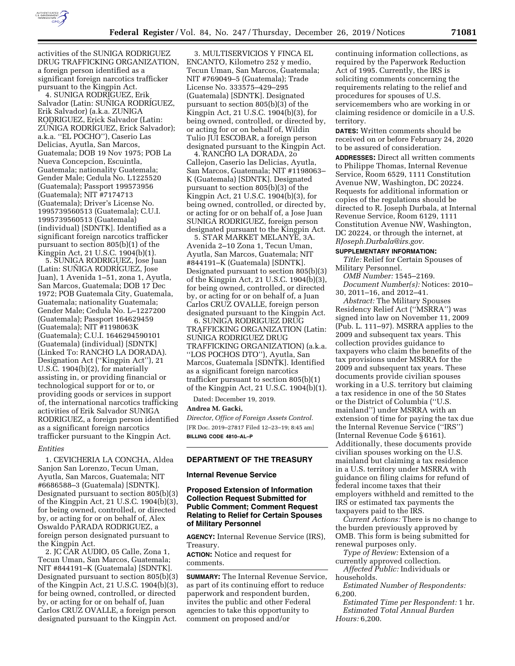

activities of the SUNIGA RODRIGUEZ DRUG TRAFFICKING ORGANIZATION, a foreign person identified as a significant foreign narcotics trafficker pursuant to the Kingpin Act.

4. SUNIGA RODRIGUEZ, Erik Salvador (Latin: SUNIGA RODRIGUEZ, Erik Salvador) (a.k.a. ZUNIGA RODRIGUEZ, Erick Salvador (Latin: ZÚÑIGA RODRÍGUEZ, Erick Salvador); a.k.a. ''EL POCHO''), Caserio Las Delicias, Ayutla, San Marcos, Guatemala; DOB 19 Nov 1975; POB La Nueva Concepcion, Escuintla, Guatemala; nationality Guatemala; Gender Male; Cedula No. L1225520 (Guatemala); Passport 199573956 (Guatemala); NIT #7174713 (Guatemala); Driver's License No. 1995739560513 (Guatemala); C.U.I. 1995739560513 (Guatemala) (individual) [SDNTK]. Identified as a significant foreign narcotics trafficker pursuant to section 805(b)(1) of the Kingpin Act, 21 U.S.C. 1904(b)(1).

5. SUNIGA RODRIGUEZ, Jose Juan (Latin: SUNIGA RODRIGUEZ, Jose Juan), 1 Avenida 1–51, zona 1, Ayutla, San Marcos, Guatemala; DOB 17 Dec 1972; POB Guatemala City, Guatemala, Guatemala; nationality Guatemala; Gender Male; Cedula No. L–1227200 (Guatemala); Passport 164629459 (Guatemala); NIT #1198063K (Guatemala); C.U.I. 1646294590101 (Guatemala) (individual) [SDNTK] (Linked To: RANCHO LA DORADA). Designation Act (''Kingpin Act''), 21 U.S.C. 1904(b)(2), for materially assisting in, or providing financial or technological support for or to, or providing goods or services in support of, the international narcotics trafficking activities of Erik Salvador SUNIGA RODRIGUEZ, a foreign person identified as a significant foreign narcotics trafficker pursuant to the Kingpin Act.

#### *Entities*

1. CEVICHERIA LA CONCHA, Aldea Sanjon San Lorenzo, Tecun Uman, Ayutla, San Marcos, Guatemala; NIT #6686588–3 (Guatemala) [SDNTK]. Designated pursuant to section 805(b)(3) of the Kingpin Act, 21 U.S.C. 1904(b)(3), for being owned, controlled, or directed by, or acting for or on behalf of, Alex Oswaldo PARADA RODRIGUEZ, a foreign person designated pursuant to the Kingpin Act.

2. JC CAR AUDIO, 05 Calle, Zona 1, Tecun Uman, San Marcos, Guatemala; NIT #844191–K (Guatemala) [SDNTK]. Designated pursuant to section 805(b)(3) of the Kingpin Act, 21 U.S.C. 1904(b)(3), for being owned, controlled, or directed by, or acting for or on behalf of, Juan Carlos CRUZ OVALLE, a foreign person designated pursuant to the Kingpin Act.

3. MULTISERVICIOS Y FINCA EL ENCANTO, Kilometro 252 y medio, Tecun Uman, San Marcos, Guatemala; NIT #769049–5 (Guatemala); Trade License No. 333575–429–295 (Guatemala) [SDNTK]. Designated pursuant to section 805(b)(3) of the Kingpin Act, 21 U.S.C. 1904(b)(3), for being owned, controlled, or directed by, or acting for or on behalf of, Wildin Tulio JUI ESCOBAR, a foreign person designated pursuant to the Kingpin Act.

4. RANCHO LA DORADA, 2o Callejon, Caserio las Delicias, Ayutla, San Marcos, Guatemala; NIT #1198063– K (Guatemala) [SDNTK]. Designated pursuant to section 805(b)(3) of the Kingpin Act, 21 U.S.C. 1904(b)(3), for being owned, controlled, or directed by, or acting for or on behalf of, a Jose Juan SUNIGA RODRIGUEZ, foreign person designated pursuant to the Kingpin Act.

5. STAR MARKET MELANYE, 3A. Avenida 2–10 Zona 1, Tecun Uman, Ayutla, San Marcos, Guatemala; NIT #844191–K (Guatemala) [SDNTK]. Designated pursuant to section 805(b)(3) of the Kingpin Act, 21 U.S.C. 1904(b)(3), for being owned, controlled, or directed by, or acting for or on behalf of, a Juan Carlos CRUZ OVALLE, foreign person designated pursuant to the Kingpin Act.

6. SUNIGA RODRIGUEZ DRUG TRAFFICKING ORGANIZATION (Latin: SUÑIGA RODRIGUEZ DRUG TRAFFICKING ORGANIZATION) (a.k.a. ''LOS POCHOS DTO''), Ayutla, San Marcos, Guatemala [SDNTK]. Identified as a significant foreign narcotics trafficker pursuant to section 805(b)(1) of the Kingpin Act, 21 U.S.C. 1904(b)(1).

Dated: December 19, 2019.

#### **Andrea M. Gacki,**

*Director, Office of Foreign Assets Control.*  [FR Doc. 2019–27817 Filed 12–23–19; 8:45 am] **BILLING CODE 4810–AL–P** 

## **DEPARTMENT OF THE TREASURY**

### **Internal Revenue Service**

## **Proposed Extension of Information Collection Request Submitted for Public Comment; Comment Request Relating to Relief for Certain Spouses of Military Personnel**

**AGENCY:** Internal Revenue Service (IRS), Treasury.

**ACTION:** Notice and request for comments.

**SUMMARY:** The Internal Revenue Service, as part of its continuing effort to reduce paperwork and respondent burden, invites the public and other Federal agencies to take this opportunity to comment on proposed and/or

continuing information collections, as required by the Paperwork Reduction Act of 1995. Currently, the IRS is soliciting comments concerning the requirements relating to the relief and procedures for spouses of U.S. servicemembers who are working in or claiming residence or domicile in a U.S. territory.

**DATES:** Written comments should be received on or before February 24, 2020 to be assured of consideration.

**ADDRESSES:** Direct all written comments to Philippe Thomas, Internal Revenue Service, Room 6529, 1111 Constitution Avenue NW, Washington, DC 20224. Requests for additional information or copies of the regulations should be directed to R. Joseph Durbala, at Internal Revenue Service, Room 6129, 1111 Constitution Avenue NW, Washington, DC 20224, or through the internet, at *[RJoseph.Durbala@irs.gov.](mailto:RJoseph.Durbala@irs.gov)* 

### **SUPPLEMENTARY INFORMATION:**

*Title:* Relief for Certain Spouses of Military Personnel.

*OMB Number:* 1545–2169. *Document Number(s):* Notices: 2010– 30, 2011–16, and 2012–41.

*Abstract:* The Military Spouses Residency Relief Act (''MSRRA'') was signed into law on November 11, 2009 (Pub. L. 111–97). MSRRA applies to the 2009 and subsequent tax years. This collection provides guidance to taxpayers who claim the benefits of the tax provisions under MSRRA for the 2009 and subsequent tax years. These documents provide civilian spouses working in a U.S. territory but claiming a tax residence in one of the 50 States or the District of Columbia (''U.S. mainland'') under MSRRA with an extension of time for paying the tax due the Internal Revenue Service (''IRS'') (Internal Revenue Code § 6161). Additionally, these documents provide civilian spouses working on the U.S. mainland but claiming a tax residence in a U.S. territory under MSRRA with guidance on filing claims for refund of federal income taxes that their employers withheld and remitted to the IRS or estimated tax payments the taxpayers paid to the IRS.

*Current Actions:* There is no change to the burden previously approved by OMB. This form is being submitted for renewal purposes only.

*Type of Review:* Extension of a currently approved collection.

*Affected Public:* Individuals or households.

*Estimated Number of Respondents:*  6,200.

*Estimated Time per Respondent:* 1 hr. *Estimated Total Annual Burden Hours:* 6,200.